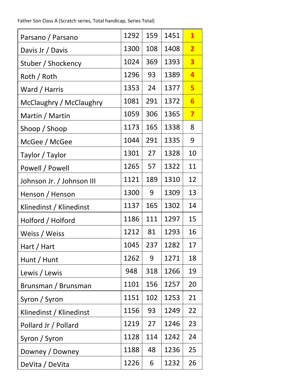Father Son Class A (Scratch series, Total handicap, Series Total)

| Parsano / Parsano         | 1292 | 159 | 1451 | $\mathbf{1}$            |
|---------------------------|------|-----|------|-------------------------|
| Davis Jr / Davis          | 1300 | 108 | 1408 | $\overline{\mathbf{2}}$ |
| Stuber / Shockency        | 1024 | 369 | 1393 | $\overline{\mathbf{3}}$ |
| Roth / Roth               | 1296 | 93  | 1389 | 4                       |
| Ward / Harris             | 1353 | 24  | 1377 | 5                       |
| McClaughry / McClaughry   | 1081 | 291 | 1372 | 6                       |
| Martin / Martin           | 1059 | 306 | 1365 | 7                       |
| Shoop / Shoop             | 1173 | 165 | 1338 | 8                       |
| McGee / McGee             | 1044 | 291 | 1335 | 9                       |
| Taylor / Taylor           | 1301 | 27  | 1328 | 10                      |
| Powell / Powell           | 1265 | 57  | 1322 | 11                      |
| Johnson Jr. / Johnson III | 1121 | 189 | 1310 | 12                      |
| Henson / Henson           | 1300 | 9   | 1309 | 13                      |
| Klinedinst / Klinedinst   | 1137 | 165 | 1302 | 14                      |
| Holford / Holford         | 1186 | 111 | 1297 | 15                      |
| Weiss / Weiss             | 1212 | 81  | 1293 | 16                      |
| Hart / Hart               | 1045 | 237 | 1282 | 17                      |
| Hunt / Hunt               | 1262 | 9   | 1271 | 18                      |
| Lewis / Lewis             | 948  | 318 | 1266 | 19                      |
| Brunsman / Brunsman       | 1101 | 156 | 1257 | 20                      |
| Syron / Syron             | 1151 | 102 | 1253 | 21                      |
| Klinedinst / Klinedinst   | 1156 | 93  | 1249 | 22                      |
| Pollard Jr / Pollard      | 1219 | 27  | 1246 | 23                      |
| Syron / Syron             | 1128 | 114 | 1242 | 24                      |
| Downey / Downey           | 1188 | 48  | 1236 | 25                      |
| DeVita / DeVita           | 1226 | 6   | 1232 | 26                      |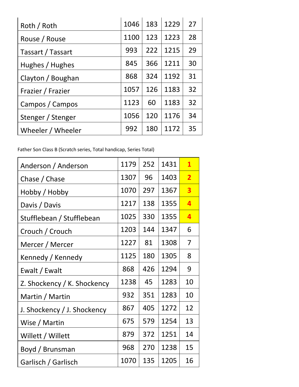| Roth / Roth       | 1046 | 183 | 1229 | 27 |
|-------------------|------|-----|------|----|
| Rouse / Rouse     | 1100 | 123 | 1223 | 28 |
| Tassart / Tassart | 993  | 222 | 1215 | 29 |
| Hughes / Hughes   | 845  | 366 | 1211 | 30 |
| Clayton / Boughan | 868  | 324 | 1192 | 31 |
| Frazier / Frazier | 1057 | 126 | 1183 | 32 |
| Campos / Campos   | 1123 | 60  | 1183 | 32 |
| Stenger / Stenger | 1056 | 120 | 1176 | 34 |
| Wheeler / Wheeler | 992  | 180 | 1172 | 35 |

Father Son Class B (Scratch series, Total handicap, Series Total)

| Anderson / Anderson         | 1179 | 252 | 1431 | $\mathbf{1}$            |
|-----------------------------|------|-----|------|-------------------------|
| Chase / Chase               | 1307 | 96  | 1403 | $\overline{2}$          |
| Hobby / Hobby               | 1070 | 297 | 1367 | 3                       |
| Davis / Davis               | 1217 | 138 | 1355 | 4                       |
| Stufflebean / Stufflebean   | 1025 | 330 | 1355 | $\overline{\mathbf{a}}$ |
| Crouch / Crouch             | 1203 | 144 | 1347 | 6                       |
| Mercer / Mercer             | 1227 | 81  | 1308 | 7                       |
| Kennedy / Kennedy           | 1125 | 180 | 1305 | 8                       |
| Ewalt / Ewalt               | 868  | 426 | 1294 | 9                       |
| Z. Shockency / K. Shockency | 1238 | 45  | 1283 | 10                      |
| Martin / Martin             | 932  | 351 | 1283 | 10                      |
| J. Shockency / J. Shockency | 867  | 405 | 1272 | 12                      |
| Wise / Martin               | 675  | 579 | 1254 | 13                      |
| Willett / Willett           | 879  | 372 | 1251 | 14                      |
| Boyd / Brunsman             | 968  | 270 | 1238 | 15                      |
| Garlisch / Garlisch         | 1070 | 135 | 1205 | 16                      |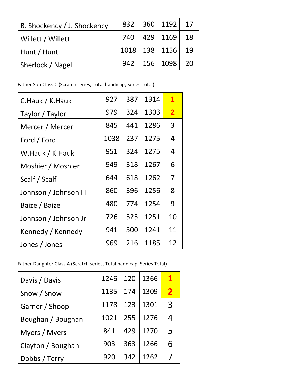| B. Shockency / J. Shockency |  | 832 360 1192 17                  |  |
|-----------------------------|--|----------------------------------|--|
| Willett / Willett           |  | 740   429   1169   18            |  |
| Hunt / Hunt                 |  | 1018 138 1156 19                 |  |
| Sherlock / Nagel            |  | $942 \mid 156 \mid 1098 \mid 20$ |  |

Father Son Class C (Scratch series, Total handicap, Series Total)

| C.Hauk / K.Hauk       | 927  | 387 | 1314 | $\mathbf{1}$   |
|-----------------------|------|-----|------|----------------|
| Taylor / Taylor       | 979  | 324 | 1303 | $\overline{2}$ |
| Mercer / Mercer       | 845  | 441 | 1286 | 3              |
| Ford / Ford           | 1038 | 237 | 1275 | 4              |
| W.Hauk / K.Hauk       | 951  | 324 | 1275 | 4              |
| Moshier / Moshier     | 949  | 318 | 1267 | 6              |
| Scalf / Scalf         | 644  | 618 | 1262 | 7              |
| Johnson / Johnson III | 860  | 396 | 1256 | 8              |
| Baize / Baize         | 480  | 774 | 1254 | 9              |
| Johnson / Johnson Jr  | 726  | 525 | 1251 | 10             |
| Kennedy / Kennedy     | 941  | 300 | 1241 | 11             |
| Jones / Jones         | 969  | 216 | 1185 | 12             |

Father Daughter Class A (Scratch series, Total handicap, Series Total)

| Davis / Davis     | 1246 | 120 | 1366 | 1            |
|-------------------|------|-----|------|--------------|
| Snow / Snow       | 1135 | 174 | 1309 | $\mathbf{2}$ |
| Garner / Shoop    | 1178 | 123 | 1301 | 3            |
| Boughan / Boughan | 1021 | 255 | 1276 | 4            |
| Myers / Myers     | 841  | 429 | 1270 | 5            |
| Clayton / Boughan | 903  | 363 | 1266 | 6            |
| Dobbs / Terry     | 920  | 342 | 1262 |              |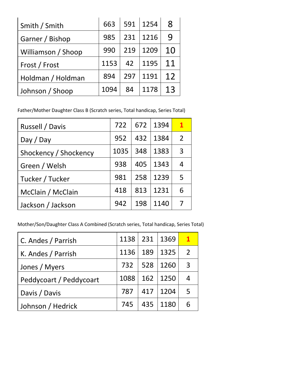| Smith / Smith      | 663  |     | 591   1254 | $\mathsf R$ |
|--------------------|------|-----|------------|-------------|
| Garner / Bishop    | 985  | 231 | 1216       | 9           |
| Williamson / Shoop | 990  | 219 | 1209       | 10          |
| Frost / Frost      | 1153 | 42  | 1195       | 11          |
| Holdman / Holdman  | 894  | 297 | 1191       | 12          |
| Johnson / Shoop    | 1094 | 84  | 1178       | 13          |

Father/Mother Daughter Class B (Scratch series, Total handicap, Series Total)

| Russell / Davis       | 722  | 672 | 1394 | $\mathbf{1}$  |
|-----------------------|------|-----|------|---------------|
| Day / Day             | 952  | 432 | 1384 | $\mathcal{P}$ |
| Shockency / Shockency | 1035 | 348 | 1383 | 3             |
| Green / Welsh         | 938  | 405 | 1343 | 4             |
| Tucker / Tucker       | 981  | 258 | 1239 | 5             |
| McClain / McClain     | 418  | 813 | 1231 | 6             |
| Jackson / Jackson     | 942  | 198 | 1140 | 7             |

Mother/Son/Daughter Class A Combined (Scratch series, Total handicap, Series Total)

| C. Andes / Parrish      | 1138 231 |     | 1369 | $\mathbf{1}$   |
|-------------------------|----------|-----|------|----------------|
| K. Andes / Parrish      | 1136     | 189 | 1325 | $\overline{2}$ |
| Jones / Myers           | 732      | 528 | 1260 | 3              |
| Peddycoart / Peddycoart | 1088     | 162 | 1250 | 4              |
| Davis / Davis           | 787      | 417 | 1204 | 5              |
| Johnson / Hedrick       | 745      | 435 | 1180 | 6              |